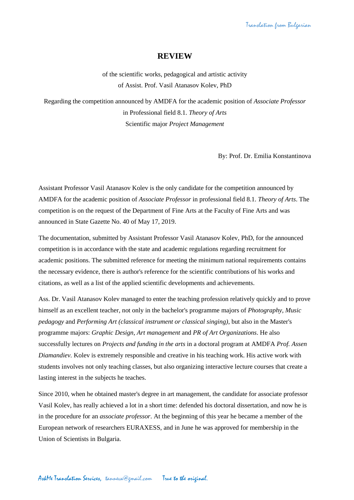## **REVIEW**

of the scientific works, pedagogical and artistic activity of Assist. Prof. Vasil Atanasov Kolev, PhD

Regarding the competition announced by AMDFA for the academic position of *Associate Professor* in Professional field 8.1. *Theory of Arts* Scientific major *Project Management*

By: Prof. Dr. Emilia Konstantinova

Assistant Professor Vasil Atanasov Kolev is the only candidate for the competition announced by AMDFA for the academic position of *Associate Professor* in professional field 8.1. *Theory of Arts*. The competition is on the request of the Department of Fine Arts at the Faculty of Fine Arts and was announced in State Gazette No. 40 of May 17, 2019.

The documentation, submitted by Assistant Professor Vasil Atanasov Kolev, PhD, for the announced competition is in accordance with the state and academic regulations regarding recruitment for academic positions. The submitted reference for meeting the minimum national requirements contains the necessary evidence, there is author's reference for the scientific contributions of his works and citations, as well as a list of the applied scientific developments and achievements.

Ass. Dr. Vasil Atanasov Kolev managed to enter the teaching profession relatively quickly and to prove himself as an excellent teacher, not only in the bachelor's programme majors of *Photography, Music pedagogy* and *Performing Art (classical instrument or classical singing)*, but also in the Master's programme majors: *Graphic Design, Art management* and *PR of Art Organizations*. He also successfully lectures on *Projects and funding in the arts* in a doctoral program at AMDFA *Prof. Assen Diamandiev.* Kolev is extremely responsible and creative in his teaching work. His active work with students involves not only teaching classes, but also organizing interactive lecture courses that create a lasting interest in the subjects he teaches.

Since 2010, when he obtained master's degree in art management, the candidate for associate professor Vasil Kolev, has really achieved a lot in a short time: defended his doctoral dissertation, and now he is in the procedure for an *associate professor*. At the beginning of this year he became a member of the European network of researchers EURAXESS, and in June he was approved for membership in the Union of Scientists in Bulgaria.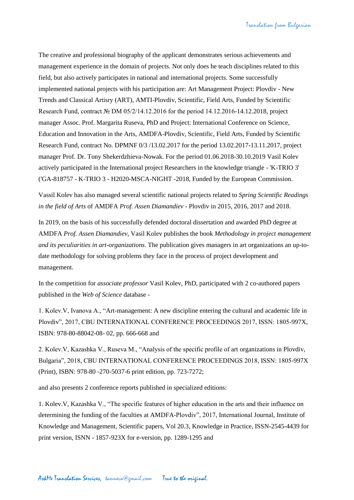The creative and professional biography of the applicant demonstrates serious achievements and management experience in the domain of projects. Not only does he teach disciplines related to this field, but also actively participates in national and international projects. Some successfully implemented national projects with his participation are: Art Management Project: Plovdiv - New Trends and Classical Artisry (ART), AMTI-Plovdiv, Scientific, Field Arts, Funded by Scientific Research Fund, contract № DM 05/2/14.12.2016 for the period 14.12.2016-14.12.2018, project manager Assoc. Prof. Margarita Ruseva, PhD and Project: International Conference on Science, Education and Innovation in the Arts, AMDFA-Plovdiv, Scientific, Field Arts, Funded by Scientific Research Fund, contract No. DPMNF 0/3 /13.02.2017 for the period 13.02.2017-13.11.2017, project manager Prof. Dr. Tony Shekerdzhieva-Nowak. For the period 01.06.2018-30.10.2019 Vasil Kolev actively participated in the International project Researchers in the knowledge triangle - 'K-TRIO 3' ('GA-818757 - K-TRIO 3 - H2020-MSCA-NIGHT -2018, Funded by the European Commission.

Vassil Kolev has also managed several scientific national projects related to *Spring Scientific Readings in the field of Arts* of AMDFA *Prof. Assen Diamandiev* - Plovdiv in 2015, 2016, 2017 and 2018.

In 2019, on the basis of his successfully defended doctoral dissertation and awarded PhD degree at AMDFA *Prof. Assen Diamandiev,* Vasil Kolev publishes the book *Methodology in project management and its peculiarities in art-organizations*. The publication gives managers in art organizations an up-todate methodology for solving problems they face in the process of project development and management.

In the competition for *associate professor* Vasil Kolev, PhD, participated with 2 co-authored papers published in the *Web of Science* database -

1. Kolev.V, Ivanova A., "Art-management: A new discipline entering the cultural and academic life in Plovdiv", 2017, CBU INTERNATIONAL CONFERENCE PROCEEDINGS 2017, ISSN: 1805-997X, ISBN: 978-80-88042-08- 02, pp. 666-668 and

2. Kolev.V, Kazashka V., Ruseva M., "Analysis of the specific profile of art organizations in Plovdiv, Bulgaria", 2018, CBU INTERNATIONAL CONFERENCE PROCEEDINGS 2018, ISSN: 1805-997X (Print), ISBN: 978-80 -270-5037-6 print edition, pp. 723-7272;

and also presents 2 conference reports published in specialized editions:

1. Kolev.V, Kazashka V., "The specific features of higher education in the arts and their influence on determining the funding of the faculties at AMDFA-Plovdiv", 2017, International Journal, Institute of Knowledge and Management, Scientific papers, Vol 20.3, Knowledge in Practice, ISSN-2545-4439 for print version, ISNN - 1857-923X for e-version, pp. 1289-1295 and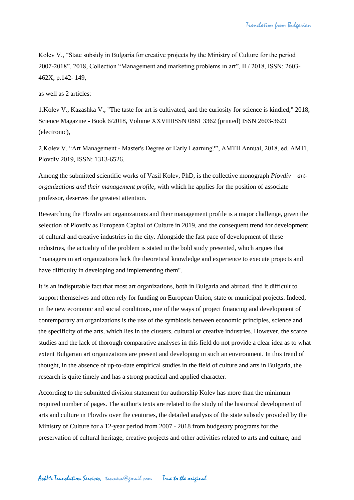Kolev V., "State subsidy in Bulgaria for creative projects by the Ministry of Culture for the period 2007-2018", 2018, Collection "Management and marketing problems in art", II / 2018, ISSN: 2603- 462X, p.142- 149,

as well as 2 articles:

1.Kolev V., Kazashka V., "The taste for art is cultivated, and the curiosity for science is kindled," 2018, Science Magazine - Book 6/2018, Volume XXVIIIISSN 0861 3362 (printed) ISSN 2603-3623 (electronic),

2.Kolev V. "Art Management - Master's Degree or Early Learning?", AMTII Annual, 2018, ed. AMTI, Plovdiv 2019, ISSN: 1313-6526.

Among the submitted scientific works of Vasil Kolev, PhD, is the collective monograph *Plovdiv – artorganizations and their management profile*, with which he applies for the position of associate professor, deserves the greatest attention.

Researching the Plovdiv art organizations and their management profile is a major challenge, given the selection of Plovdiv as European Capital of Culture in 2019, and the consequent trend for development of cultural and creative industries in the city. Alongside the fast pace of development of these industries, the actuality of the problem is stated in the bold study presented, which argues that "managers in art organizations lack the theoretical knowledge and experience to execute projects and have difficulty in developing and implementing them".

It is an indisputable fact that most art organizations, both in Bulgaria and abroad, find it difficult to support themselves and often rely for funding on European Union, state or municipal projects. Indeed, in the new economic and social conditions, one of the ways of project financing and development of contemporary art organizations is the use of the symbiosis between economic principles, science and the specificity of the arts, which lies in the clusters, cultural or creative industries. However, the scarce studies and the lack of thorough comparative analyses in this field do not provide a clear idea as to what extent Bulgarian art organizations are present and developing in such an environment. In this trend of thought, in the absence of up-to-date empirical studies in the field of culture and arts in Bulgaria, the research is quite timely and has a strong practical and applied character.

According to the submitted division statement for authorship Kolev has more than the minimum required number of pages. The author's texts are related to the study of the historical development of arts and culture in Plovdiv over the centuries, the detailed analysis of the state subsidy provided by the Ministry of Culture for a 12-year period from 2007 - 2018 from budgetary programs for the preservation of cultural heritage, creative projects and other activities related to arts and culture, and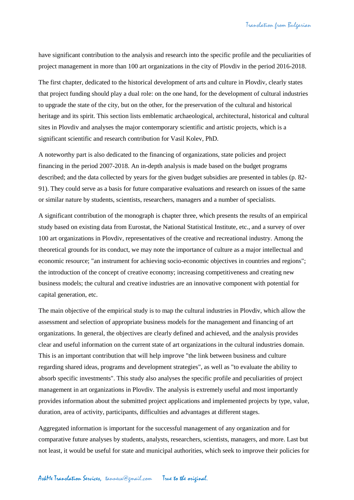have significant contribution to the analysis and research into the specific profile and the peculiarities of project management in more than 100 art organizations in the city of Plovdiv in the period 2016-2018.

The first chapter, dedicated to the historical development of arts and culture in Plovdiv, clearly states that project funding should play a dual role: on the one hand, for the development of cultural industries to upgrade the state of the city, but on the other, for the preservation of the cultural and historical heritage and its spirit. This section lists emblematic archaeological, architectural, historical and cultural sites in Plovdiv and analyses the major contemporary scientific and artistic projects, which is a significant scientific and research contribution for Vasil Kolev, PhD.

A noteworthy part is also dedicated to the financing of organizations, state policies and project financing in the period 2007-2018. An in-depth analysis is made based on the budget programs described; and the data collected by years for the given budget subsidies are presented in tables (p. 82- 91). They could serve as a basis for future comparative evaluations and research on issues of the same or similar nature by students, scientists, researchers, managers and a number of specialists.

A significant contribution of the monograph is chapter three, which presents the results of an empirical study based on existing data from Eurostat, the National Statistical Institute, etc., and a survey of over 100 art organizations in Plovdiv, representatives of the creative and recreational industry. Among the theoretical grounds for its conduct, we may note the importance of culture as a major intellectual and economic resource; "an instrument for achieving socio-economic objectives in countries and regions"; the introduction of the concept of creative economy; increasing competitiveness and creating new business models; the cultural and creative industries are an innovative component with potential for capital generation, etc.

The main objective of the empirical study is to map the cultural industries in Plovdiv, which allow the assessment and selection of appropriate business models for the management and financing of art organizations. In general, the objectives are clearly defined and achieved, and the analysis provides clear and useful information on the current state of art organizations in the cultural industries domain. This is an important contribution that will help improve "the link between business and culture regarding shared ideas, programs and development strategies", as well as "to evaluate the ability to absorb specific investments". This study also analyses the specific profile and peculiarities of project management in art organizations in Plovdiv. The analysis is extremely useful and most importantly provides information about the submitted project applications and implemented projects by type, value, duration, area of activity, participants, difficulties and advantages at different stages.

Aggregated information is important for the successful management of any organization and for comparative future analyses by students, analysts, researchers, scientists, managers, and more. Last but not least, it would be useful for state and municipal authorities, which seek to improve their policies for